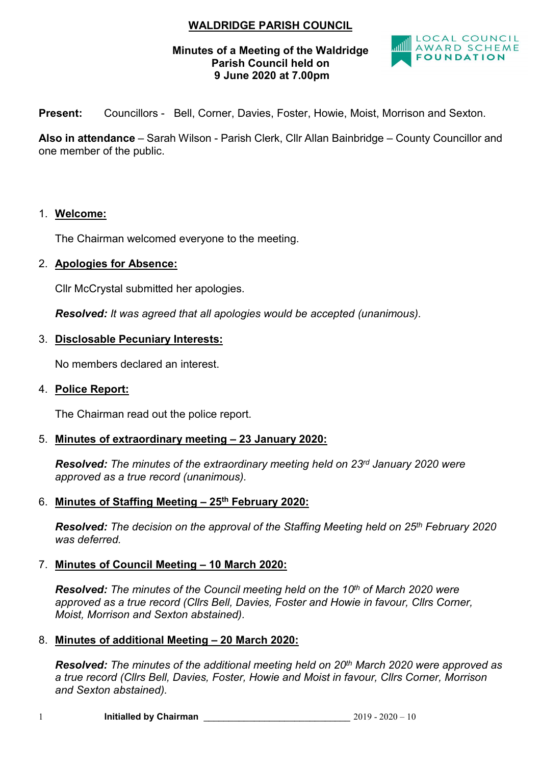# WALDRIDGE PARISH COUNCIL

### Minutes of a Meeting of the Waldridge Parish Council held on 9 June 2020 at 7.00pm



Present: Councillors - Bell, Corner, Davies, Foster, Howie, Moist, Morrison and Sexton.

Also in attendance – Sarah Wilson - Parish Clerk, Cllr Allan Bainbridge – County Councillor and one member of the public.

#### 1. Welcome:

The Chairman welcomed everyone to the meeting.

## 2. Apologies for Absence:

Cllr McCrystal submitted her apologies.

Resolved: It was agreed that all apologies would be accepted (unanimous).

## 3. Disclosable Pecuniary Interests:

No members declared an interest.

#### 4. Police Report:

The Chairman read out the police report.

## 5. Minutes of extraordinary meeting – 23 January 2020:

Resolved: The minutes of the extraordinary meeting held on 23rd January 2020 were approved as a true record (unanimous).

#### 6. Minutes of Staffing Meeting - 25<sup>th</sup> February 2020:

Resolved: The decision on the approval of the Staffing Meeting held on 25<sup>th</sup> February 2020 was deferred.

#### 7. Minutes of Council Meeting – 10 March 2020:

**Resolved:** The minutes of the Council meeting held on the  $10<sup>th</sup>$  of March 2020 were approved as a true record (Cllrs Bell, Davies, Foster and Howie in favour, Cllrs Corner, Moist, Morrison and Sexton abstained).

#### 8. Minutes of additional Meeting – 20 March 2020:

Resolved: The minutes of the additional meeting held on 20<sup>th</sup> March 2020 were approved as a true record (Cllrs Bell, Davies, Foster, Howie and Moist in favour, Cllrs Corner, Morrison and Sexton abstained).

1 **Initialled by Chairman**  $2019 - 2020 - 10$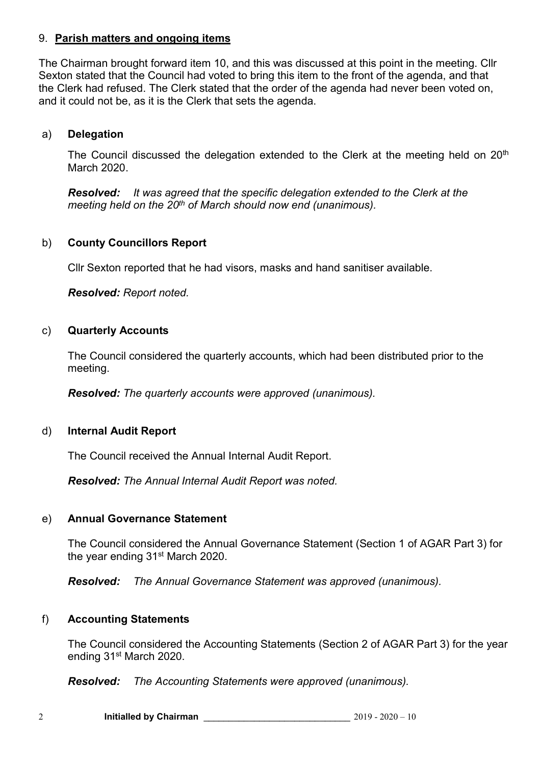## 9. Parish matters and ongoing items

The Chairman brought forward item 10, and this was discussed at this point in the meeting. Cllr Sexton stated that the Council had voted to bring this item to the front of the agenda, and that the Clerk had refused. The Clerk stated that the order of the agenda had never been voted on, and it could not be, as it is the Clerk that sets the agenda.

## a) Delegation

The Council discussed the delegation extended to the Clerk at the meeting held on 20<sup>th</sup> March 2020.

Resolved: It was agreed that the specific delegation extended to the Clerk at the meeting held on the  $20<sup>th</sup>$  of March should now end (unanimous).

## b) County Councillors Report

Cllr Sexton reported that he had visors, masks and hand sanitiser available.

Resolved: Report noted.

#### c) Quarterly Accounts

The Council considered the quarterly accounts, which had been distributed prior to the meeting.

Resolved: The quarterly accounts were approved (unanimous).

#### d) Internal Audit Report

The Council received the Annual Internal Audit Report.

Resolved: The Annual Internal Audit Report was noted.

#### e) Annual Governance Statement

The Council considered the Annual Governance Statement (Section 1 of AGAR Part 3) for the year ending 31<sup>st</sup> March 2020.

Resolved: The Annual Governance Statement was approved (unanimous).

#### f) Accounting Statements

The Council considered the Accounting Statements (Section 2 of AGAR Part 3) for the year ending 31st March 2020.

Resolved: The Accounting Statements were approved (unanimous).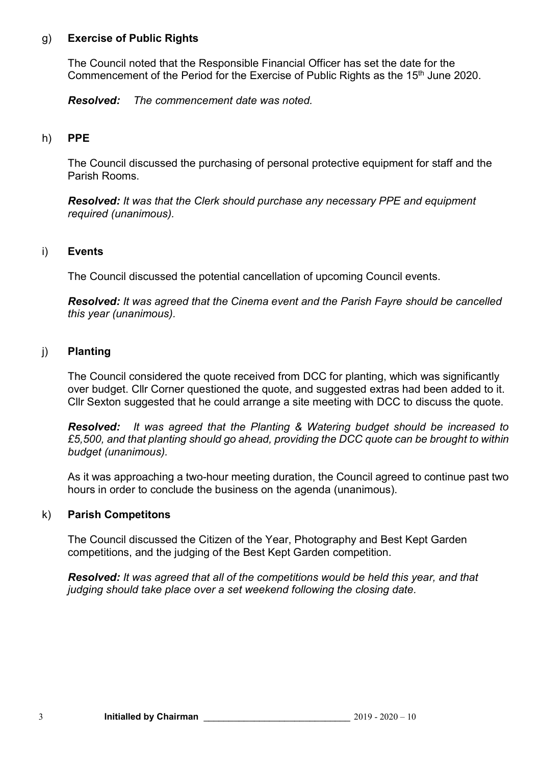## g) Exercise of Public Rights

The Council noted that the Responsible Financial Officer has set the date for the Commencement of the Period for the Exercise of Public Rights as the 15<sup>th</sup> June 2020.

Resolved: The commencement date was noted.

## h) PPE

The Council discussed the purchasing of personal protective equipment for staff and the Parish Rooms.

Resolved: It was that the Clerk should purchase any necessary PPE and equipment required (unanimous).

## i) Events

The Council discussed the potential cancellation of upcoming Council events.

Resolved: It was agreed that the Cinema event and the Parish Fayre should be cancelled this year (unanimous).

## j) Planting

The Council considered the quote received from DCC for planting, which was significantly over budget. Cllr Corner questioned the quote, and suggested extras had been added to it. Cllr Sexton suggested that he could arrange a site meeting with DCC to discuss the quote.

Resolved: It was agreed that the Planting & Watering budget should be increased to £5,500, and that planting should go ahead, providing the DCC quote can be brought to within budget (unanimous).

As it was approaching a two-hour meeting duration, the Council agreed to continue past two hours in order to conclude the business on the agenda (unanimous).

#### k) Parish Competitons

The Council discussed the Citizen of the Year, Photography and Best Kept Garden competitions, and the judging of the Best Kept Garden competition.

Resolved: It was agreed that all of the competitions would be held this year, and that judging should take place over a set weekend following the closing date.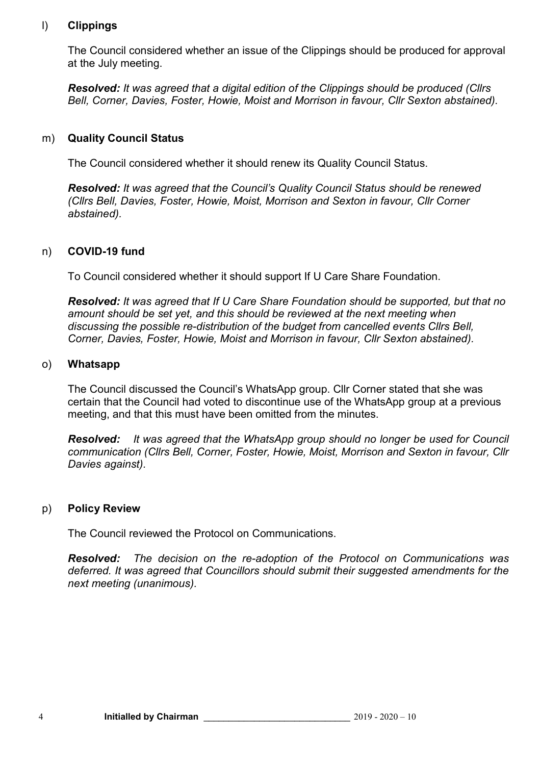## l) Clippings

The Council considered whether an issue of the Clippings should be produced for approval at the July meeting.

Resolved: It was agreed that a digital edition of the Clippings should be produced (Cllrs Bell, Corner, Davies, Foster, Howie, Moist and Morrison in favour, Cllr Sexton abstained).

## m) Quality Council Status

The Council considered whether it should renew its Quality Council Status.

Resolved: It was agreed that the Council's Quality Council Status should be renewed (Cllrs Bell, Davies, Foster, Howie, Moist, Morrison and Sexton in favour, Cllr Corner abstained).

## n) COVID-19 fund

To Council considered whether it should support If U Care Share Foundation.

Resolved: It was agreed that If U Care Share Foundation should be supported, but that no amount should be set yet, and this should be reviewed at the next meeting when discussing the possible re-distribution of the budget from cancelled events Cllrs Bell, Corner, Davies, Foster, Howie, Moist and Morrison in favour, Cllr Sexton abstained).

#### o) Whatsapp

The Council discussed the Council's WhatsApp group. Cllr Corner stated that she was certain that the Council had voted to discontinue use of the WhatsApp group at a previous meeting, and that this must have been omitted from the minutes.

Resolved: It was agreed that the WhatsApp group should no longer be used for Council communication (Cllrs Bell, Corner, Foster, Howie, Moist, Morrison and Sexton in favour, Cllr Davies against).

#### p) Policy Review

The Council reviewed the Protocol on Communications.

Resolved: The decision on the re-adoption of the Protocol on Communications was deferred. It was agreed that Councillors should submit their suggested amendments for the next meeting (unanimous).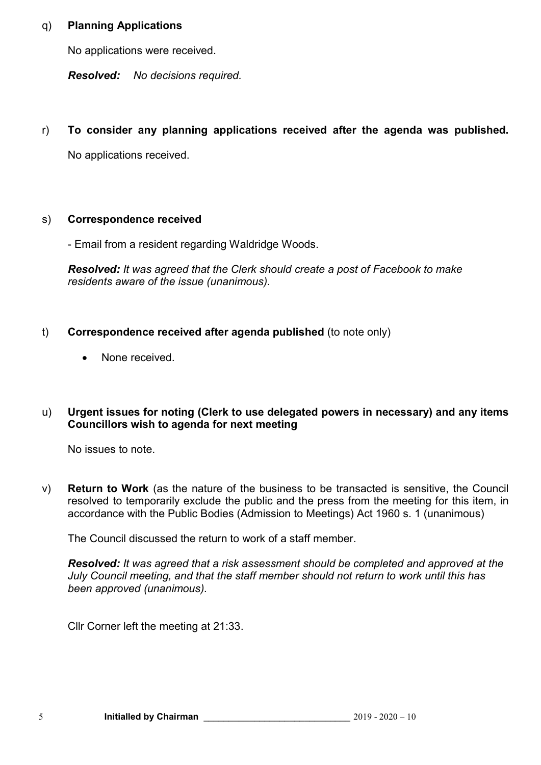## q) Planning Applications

No applications were received.

Resolved: No decisions required.

r) To consider any planning applications received after the agenda was published.

No applications received.

## s) Correspondence received

- Email from a resident regarding Waldridge Woods.

Resolved: It was agreed that the Clerk should create a post of Facebook to make residents aware of the issue (unanimous).

- t) Correspondence received after agenda published (to note only)
	- None received.

## u) Urgent issues for noting (Clerk to use delegated powers in necessary) and any items Councillors wish to agenda for next meeting

No issues to note.

v) Return to Work (as the nature of the business to be transacted is sensitive, the Council resolved to temporarily exclude the public and the press from the meeting for this item, in accordance with the Public Bodies (Admission to Meetings) Act 1960 s. 1 (unanimous)

The Council discussed the return to work of a staff member.

Resolved: It was agreed that a risk assessment should be completed and approved at the July Council meeting, and that the staff member should not return to work until this has been approved (unanimous).

Cllr Corner left the meeting at 21:33.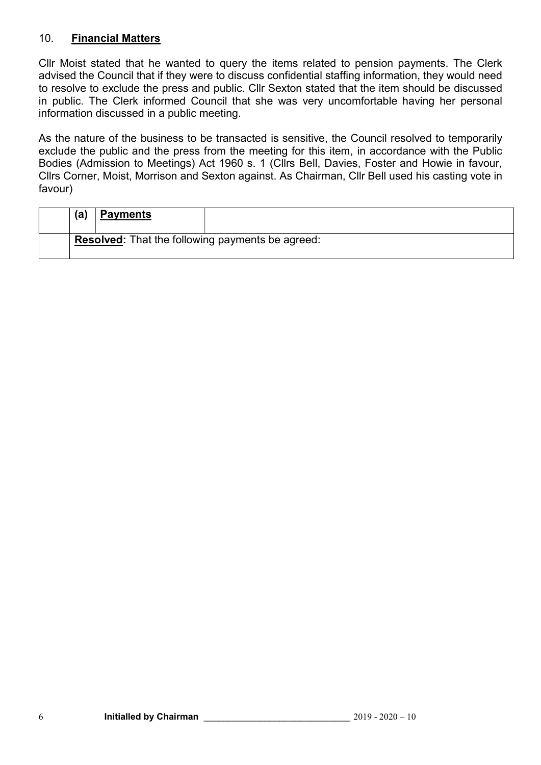## 10. Financial Matters

Cllr Moist stated that he wanted to query the items related to pension payments. The Clerk advised the Council that if they were to discuss confidential staffing information, they would need to resolve to exclude the press and public. Cllr Sexton stated that the item should be discussed in public. The Clerk informed Council that she was very uncomfortable having her personal information discussed in a public meeting.

As the nature of the business to be transacted is sensitive, the Council resolved to temporarily exclude the public and the press from the meeting for this item, in accordance with the Public Bodies (Admission to Meetings) Act 1960 s. 1 (Cllrs Bell, Davies, Foster and Howie in favour, Cllrs Corner, Moist, Morrison and Sexton against. As Chairman, Cllr Bell used his casting vote in favour)

| (a) | <b>Payments</b> |                                                  |
|-----|-----------------|--------------------------------------------------|
|     |                 | Resolved: That the following payments be agreed: |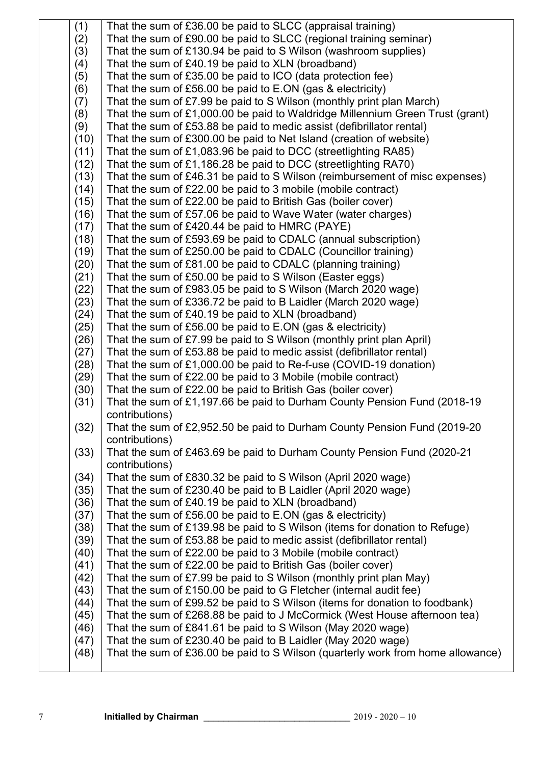| (1)  | That the sum of £36.00 be paid to SLCC (appraisal training)                     |
|------|---------------------------------------------------------------------------------|
| (2)  | That the sum of £90.00 be paid to SLCC (regional training seminar)              |
| (3)  | That the sum of £130.94 be paid to S Wilson (washroom supplies)                 |
| (4)  | That the sum of £40.19 be paid to XLN (broadband)                               |
| (5)  | That the sum of £35.00 be paid to ICO (data protection fee)                     |
| (6)  | That the sum of £56.00 be paid to $E$ .ON (gas & electricity)                   |
| (7)  | That the sum of £7.99 be paid to S Wilson (monthly print plan March)            |
| (8)  | That the sum of £1,000.00 be paid to Waldridge Millennium Green Trust (grant)   |
| (9)  | That the sum of £53.88 be paid to medic assist (defibrillator rental)           |
| (10) | That the sum of £300.00 be paid to Net Island (creation of website)             |
| (11) | That the sum of £1,083.96 be paid to DCC (streetlighting RA85)                  |
| (12) | That the sum of £1,186.28 be paid to DCC (streetlighting RA70)                  |
| (13) | That the sum of £46.31 be paid to S Wilson (reimbursement of misc expenses)     |
| (14) | That the sum of £22.00 be paid to 3 mobile (mobile contract)                    |
| (15) | That the sum of £22.00 be paid to British Gas (boiler cover)                    |
| (16) | That the sum of £57.06 be paid to Wave Water (water charges)                    |
| (17) | That the sum of £420.44 be paid to HMRC (PAYE)                                  |
| (18) | That the sum of £593.69 be paid to CDALC (annual subscription)                  |
| (19) | That the sum of £250.00 be paid to CDALC (Councillor training)                  |
| (20) | That the sum of £81.00 be paid to CDALC (planning training)                     |
| (21) | That the sum of £50.00 be paid to S Wilson (Easter eggs)                        |
| (22) | That the sum of £983.05 be paid to S Wilson (March 2020 wage)                   |
| (23) | That the sum of £336.72 be paid to B Laidler (March 2020 wage)                  |
| (24) | That the sum of £40.19 be paid to XLN (broadband)                               |
| (25) | That the sum of £56.00 be paid to E.ON (gas & electricity)                      |
|      |                                                                                 |
| (26) | That the sum of £7.99 be paid to S Wilson (monthly print plan April)            |
| (27) | That the sum of £53.88 be paid to medic assist (defibrillator rental)           |
| (28) | That the sum of £1,000.00 be paid to Re-f-use (COVID-19 donation)               |
| (29) | That the sum of £22.00 be paid to 3 Mobile (mobile contract)                    |
| (30) | That the sum of £22.00 be paid to British Gas (boiler cover)                    |
| (31) | That the sum of £1,197.66 be paid to Durham County Pension Fund (2018-19)       |
| (32) | contributions)                                                                  |
|      | That the sum of £2,952.50 be paid to Durham County Pension Fund (2019-20        |
|      | contributions)                                                                  |
| (33) | That the sum of £463.69 be paid to Durham County Pension Fund (2020-21          |
|      | contributions)                                                                  |
| (34) | That the sum of £830.32 be paid to S Wilson (April 2020 wage)                   |
| (35) | That the sum of £230.40 be paid to B Laidler (April 2020 wage)                  |
| (36) | That the sum of £40.19 be paid to XLN (broadband)                               |
| (37) | That the sum of £56.00 be paid to $E.ON$ (gas & electricity)                    |
| (38) | That the sum of £139.98 be paid to S Wilson (items for donation to Refuge)      |
| (39) | That the sum of £53.88 be paid to medic assist (defibrillator rental)           |
| (40) | That the sum of £22.00 be paid to 3 Mobile (mobile contract)                    |
| (41) | That the sum of £22.00 be paid to British Gas (boiler cover)                    |
| (42) | That the sum of £7.99 be paid to S Wilson (monthly print plan May)              |
| (43) | That the sum of £150.00 be paid to G Fletcher (internal audit fee)              |
| (44) | That the sum of £99.52 be paid to S Wilson (items for donation to foodbank)     |
| (45) | That the sum of £268.88 be paid to J McCormick (West House afternoon tea)       |
| (46) | That the sum of £841.61 be paid to S Wilson (May 2020 wage)                     |
| (47) | That the sum of £230.40 be paid to B Laidler (May 2020 wage)                    |
| (48) | That the sum of £36.00 be paid to S Wilson (quarterly work from home allowance) |
|      |                                                                                 |